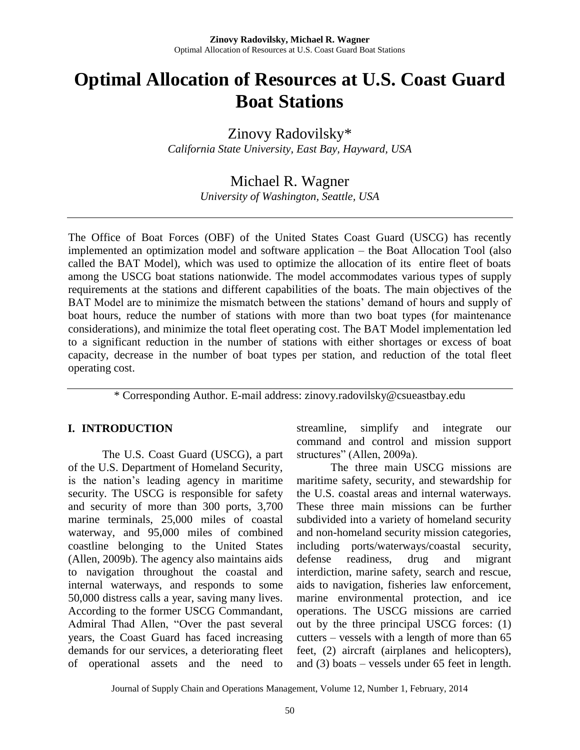# **Optimal Allocation of Resources at U.S. Coast Guard Boat Stations**

Zinovy Radovilsky\*

*California State University, East Bay, Hayward, USA*

# Michael R. Wagner

*University of Washington, Seattle, USA*

The Office of Boat Forces (OBF) of the United States Coast Guard (USCG) has recently implemented an optimization model and software application – the Boat Allocation Tool (also called the BAT Model), which was used to optimize the allocation of its entire fleet of boats among the USCG boat stations nationwide. The model accommodates various types of supply requirements at the stations and different capabilities of the boats. The main objectives of the BAT Model are to minimize the mismatch between the stations' demand of hours and supply of boat hours, reduce the number of stations with more than two boat types (for maintenance considerations), and minimize the total fleet operating cost. The BAT Model implementation led to a significant reduction in the number of stations with either shortages or excess of boat capacity, decrease in the number of boat types per station, and reduction of the total fleet operating cost.

\* Corresponding Author. E-mail address: zinovy.radovilsky@csueastbay.edu

### **I. INTRODUCTION**

The U.S. Coast Guard (USCG), a part of the U.S. Department of Homeland Security, is the nation's leading agency in maritime security. The USCG is responsible for safety and security of more than 300 ports, 3,700 marine terminals, 25,000 miles of coastal waterway, and 95,000 miles of combined coastline belonging to the United States (Allen, 2009b). The agency also maintains aids to navigation throughout the coastal and internal waterways, and responds to some 50,000 distress calls a year, saving many lives. According to the former USCG Commandant, Admiral Thad Allen, "Over the past several years, the Coast Guard has faced increasing demands for our services, a deteriorating fleet of operational assets and the need to streamline, simplify and integrate our command and control and mission support structures" (Allen, 2009a).

The three main USCG missions are maritime safety, security, and stewardship for the U.S. coastal areas and internal waterways. These three main missions can be further subdivided into a variety of homeland security and non-homeland security mission categories, including ports/waterways/coastal security, defense readiness, drug and migrant interdiction, marine safety, search and rescue, aids to navigation, fisheries law enforcement, marine environmental protection, and ice operations. The USCG missions are carried out by the three principal USCG forces: (1) cutters – vessels with a length of more than 65 feet, (2) aircraft (airplanes and helicopters), and (3) boats – vessels under 65 feet in length.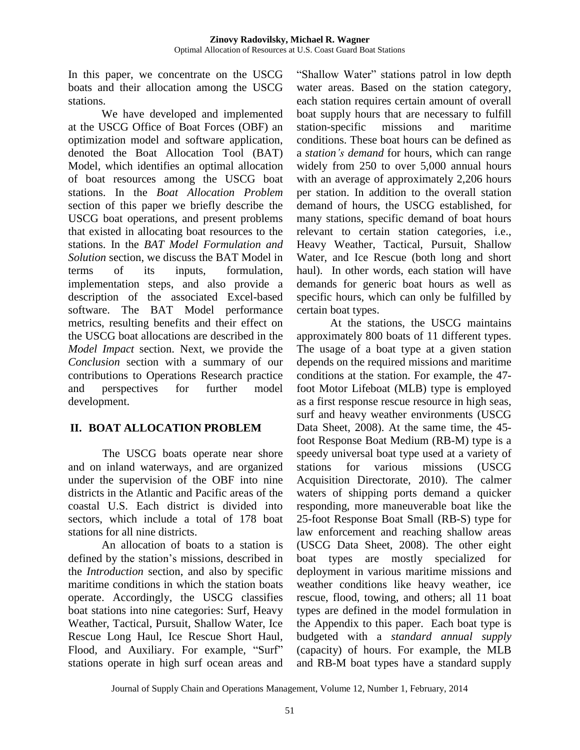In this paper, we concentrate on the USCG boats and their allocation among the USCG stations.

We have developed and implemented at the USCG Office of Boat Forces (OBF) an optimization model and software application, denoted the Boat Allocation Tool (BAT) Model, which identifies an optimal allocation of boat resources among the USCG boat stations. In the *Boat Allocation Problem*  section of this paper we briefly describe the USCG boat operations, and present problems that existed in allocating boat resources to the stations. In the *BAT Model Formulation and Solution* section, we discuss the BAT Model in terms of its inputs, formulation, implementation steps, and also provide a description of the associated Excel-based software. The BAT Model performance metrics, resulting benefits and their effect on the USCG boat allocations are described in the *Model Impact* section. Next, we provide the *Conclusion* section with a summary of our contributions to Operations Research practice and perspectives for further model development.

# **II. BOAT ALLOCATION PROBLEM**

The USCG boats operate near shore and on inland waterways, and are organized under the supervision of the OBF into nine districts in the Atlantic and Pacific areas of the coastal U.S. Each district is divided into sectors, which include a total of 178 boat stations for all nine districts.

An allocation of boats to a station is defined by the station's missions, described in the *Introduction* section, and also by specific maritime conditions in which the station boats operate. Accordingly, the USCG classifies boat stations into nine categories: Surf, Heavy Weather, Tactical, Pursuit, Shallow Water, Ice Rescue Long Haul, Ice Rescue Short Haul, Flood, and Auxiliary. For example, "Surf" stations operate in high surf ocean areas and "Shallow Water" stations patrol in low depth water areas. Based on the station category, each station requires certain amount of overall boat supply hours that are necessary to fulfill station-specific missions and maritime conditions. These boat hours can be defined as a *station's demand* for hours, which can range widely from 250 to over 5,000 annual hours with an average of approximately 2,206 hours per station. In addition to the overall station demand of hours, the USCG established, for many stations, specific demand of boat hours relevant to certain station categories, i.e., Heavy Weather, Tactical, Pursuit, Shallow Water, and Ice Rescue (both long and short haul). In other words, each station will have demands for generic boat hours as well as specific hours, which can only be fulfilled by certain boat types.

At the stations, the USCG maintains approximately 800 boats of 11 different types. The usage of a boat type at a given station depends on the required missions and maritime conditions at the station. For example, the 47 foot Motor Lifeboat (MLB) type is employed as a first response rescue resource in high seas, surf and heavy weather environments (USCG Data Sheet, 2008). At the same time, the 45 foot Response Boat Medium (RB-M) type is a speedy universal boat type used at a variety of stations for various missions (USCG Acquisition Directorate, 2010). The calmer waters of shipping ports demand a quicker responding, more maneuverable boat like the 25-foot Response Boat Small (RB-S) type for law enforcement and reaching shallow areas (USCG Data Sheet, 2008). The other eight boat types are mostly specialized for deployment in various maritime missions and weather conditions like heavy weather, ice rescue, flood, towing, and others; all 11 boat types are defined in the model formulation in the Appendix to this paper. Each boat type is budgeted with a *standard annual supply* (capacity) of hours. For example, the MLB and RB-M boat types have a standard supply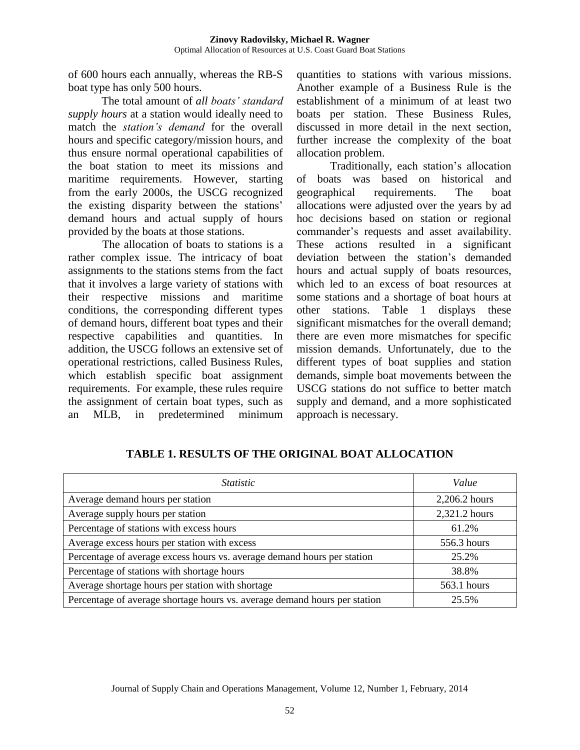of 600 hours each annually, whereas the RB-S boat type has only 500 hours.

The total amount of *all boats' standard supply hours* at a station would ideally need to match the *station's demand* for the overall hours and specific category/mission hours, and thus ensure normal operational capabilities of the boat station to meet its missions and maritime requirements. However, starting from the early 2000s, the USCG recognized the existing disparity between the stations' demand hours and actual supply of hours provided by the boats at those stations.

The allocation of boats to stations is a rather complex issue. The intricacy of boat assignments to the stations stems from the fact that it involves a large variety of stations with their respective missions and maritime conditions, the corresponding different types of demand hours, different boat types and their respective capabilities and quantities. In addition, the USCG follows an extensive set of operational restrictions, called Business Rules, which establish specific boat assignment requirements. For example, these rules require the assignment of certain boat types, such as an MLB, in predetermined minimum quantities to stations with various missions. Another example of a Business Rule is the establishment of a minimum of at least two boats per station. These Business Rules, discussed in more detail in the next section, further increase the complexity of the boat allocation problem.

Traditionally, each station's allocation of boats was based on historical and geographical requirements. The boat allocations were adjusted over the years by ad hoc decisions based on station or regional commander's requests and asset availability. These actions resulted in a significant deviation between the station's demanded hours and actual supply of boats resources, which led to an excess of boat resources at some stations and a shortage of boat hours at other stations. Table 1 displays these significant mismatches for the overall demand; there are even more mismatches for specific mission demands. Unfortunately, due to the different types of boat supplies and station demands, simple boat movements between the USCG stations do not suffice to better match supply and demand, and a more sophisticated approach is necessary.

| <i>Statistic</i>                                                          | Value         |  |  |
|---------------------------------------------------------------------------|---------------|--|--|
| Average demand hours per station                                          | 2,206.2 hours |  |  |
| Average supply hours per station                                          | 2,321.2 hours |  |  |
| Percentage of stations with excess hours                                  | 61.2%         |  |  |
| Average excess hours per station with excess                              | 556.3 hours   |  |  |
| Percentage of average excess hours vs. average demand hours per station   | 25.2%         |  |  |
| Percentage of stations with shortage hours                                | 38.8%         |  |  |
| Average shortage hours per station with shortage                          | 563.1 hours   |  |  |
| Percentage of average shortage hours vs. average demand hours per station | 25.5%         |  |  |

# **TABLE 1. RESULTS OF THE ORIGINAL BOAT ALLOCATION**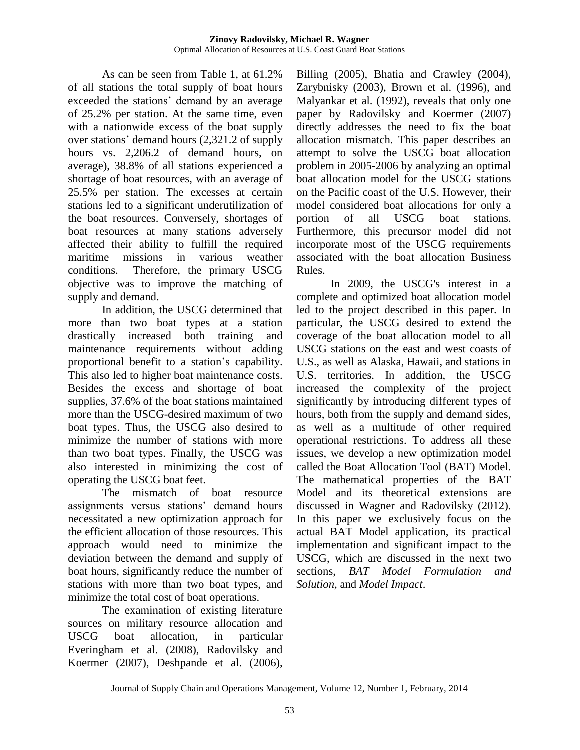As can be seen from Table 1, at 61.2% of all stations the total supply of boat hours exceeded the stations' demand by an average of 25.2% per station. At the same time, even with a nationwide excess of the boat supply over stations' demand hours (2,321.2 of supply hours vs. 2,206.2 of demand hours, on average), 38.8% of all stations experienced a shortage of boat resources, with an average of 25.5% per station. The excesses at certain stations led to a significant underutilization of the boat resources. Conversely, shortages of boat resources at many stations adversely affected their ability to fulfill the required maritime missions in various weather conditions. Therefore, the primary USCG objective was to improve the matching of supply and demand.

In addition, the USCG determined that more than two boat types at a station drastically increased both training and maintenance requirements without adding proportional benefit to a station's capability. This also led to higher boat maintenance costs. Besides the excess and shortage of boat supplies, 37.6% of the boat stations maintained more than the USCG-desired maximum of two boat types. Thus, the USCG also desired to minimize the number of stations with more than two boat types. Finally, the USCG was also interested in minimizing the cost of operating the USCG boat feet.

The mismatch of boat resource assignments versus stations' demand hours necessitated a new optimization approach for the efficient allocation of those resources. This approach would need to minimize the deviation between the demand and supply of boat hours, significantly reduce the number of stations with more than two boat types, and minimize the total cost of boat operations.

The examination of existing literature sources on military resource allocation and USCG boat allocation, in particular Everingham et al. (2008), Radovilsky and Koermer (2007), Deshpande et al. (2006),

Billing (2005), Bhatia and Crawley (2004), Zarybnisky (2003), Brown et al. (1996), and Malyankar et al. (1992), reveals that only one paper by Radovilsky and Koermer (2007) directly addresses the need to fix the boat allocation mismatch. This paper describes an attempt to solve the USCG boat allocation problem in 2005-2006 by analyzing an optimal boat allocation model for the USCG stations on the Pacific coast of the U.S. However, their model considered boat allocations for only a portion of all USCG boat stations. Furthermore, this precursor model did not incorporate most of the USCG requirements associated with the boat allocation Business Rules.

In 2009, the USCG's interest in a complete and optimized boat allocation model led to the project described in this paper. In particular, the USCG desired to extend the coverage of the boat allocation model to all USCG stations on the east and west coasts of U.S., as well as Alaska, Hawaii, and stations in U.S. territories. In addition, the USCG increased the complexity of the project significantly by introducing different types of hours, both from the supply and demand sides, as well as a multitude of other required operational restrictions. To address all these issues, we develop a new optimization model called the Boat Allocation Tool (BAT) Model. The mathematical properties of the BAT Model and its theoretical extensions are discussed in Wagner and Radovilsky (2012). In this paper we exclusively focus on the actual BAT Model application, its practical implementation and significant impact to the USCG, which are discussed in the next two sections, *BAT Model Formulation and Solution,* and *Model Impact*.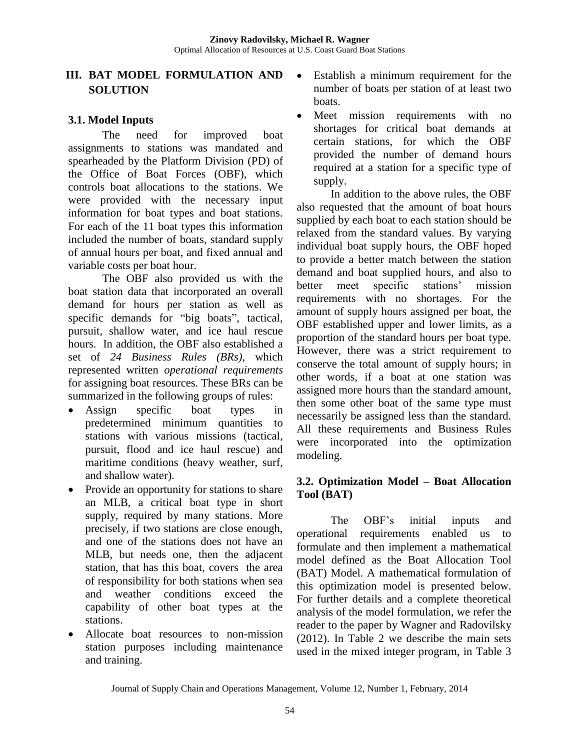# **III. BAT MODEL FORMULATION AND SOLUTION**

# **3.1. Model Inputs**

The need for improved boat assignments to stations was mandated and spearheaded by the Platform Division (PD) of the Office of Boat Forces (OBF), which controls boat allocations to the stations. We were provided with the necessary input information for boat types and boat stations. For each of the 11 boat types this information included the number of boats, standard supply of annual hours per boat, and fixed annual and variable costs per boat hour.

The OBF also provided us with the boat station data that incorporated an overall demand for hours per station as well as specific demands for "big boats", tactical, pursuit, shallow water, and ice haul rescue hours. In addition, the OBF also established a set of *24 Business Rules (BRs)*, which represented written *operational requirements* for assigning boat resources. These BRs can be summarized in the following groups of rules:

- Assign specific boat types in predetermined minimum quantities to stations with various missions (tactical, pursuit, flood and ice haul rescue) and maritime conditions (heavy weather, surf, and shallow water).
- Provide an opportunity for stations to share an MLB, a critical boat type in short supply, required by many stations. More precisely, if two stations are close enough, and one of the stations does not have an MLB, but needs one, then the adjacent station, that has this boat, covers the area of responsibility for both stations when sea and weather conditions exceed the capability of other boat types at the stations.
- Allocate boat resources to non-mission station purposes including maintenance and training.
- Establish a minimum requirement for the number of boats per station of at least two boats.
- Meet mission requirements with no shortages for critical boat demands at certain stations, for which the OBF provided the number of demand hours required at a station for a specific type of supply.

In addition to the above rules, the OBF also requested that the amount of boat hours supplied by each boat to each station should be relaxed from the standard values. By varying individual boat supply hours, the OBF hoped to provide a better match between the station demand and boat supplied hours, and also to better meet specific stations' mission requirements with no shortages. For the amount of supply hours assigned per boat, the OBF established upper and lower limits, as a proportion of the standard hours per boat type. However, there was a strict requirement to conserve the total amount of supply hours; in other words, if a boat at one station was assigned more hours than the standard amount, then some other boat of the same type must necessarily be assigned less than the standard. All these requirements and Business Rules were incorporated into the optimization modeling.

# **3.2. Optimization Model – Boat Allocation Tool (BAT)**

The OBF's initial inputs and operational requirements enabled us to formulate and then implement a mathematical model defined as the Boat Allocation Tool (BAT) Model. A mathematical formulation of this optimization model is presented below. For further details and a complete theoretical analysis of the model formulation, we refer the reader to the paper by Wagner and Radovilsky (2012). In Table 2 we describe the main sets used in the mixed integer program, in Table 3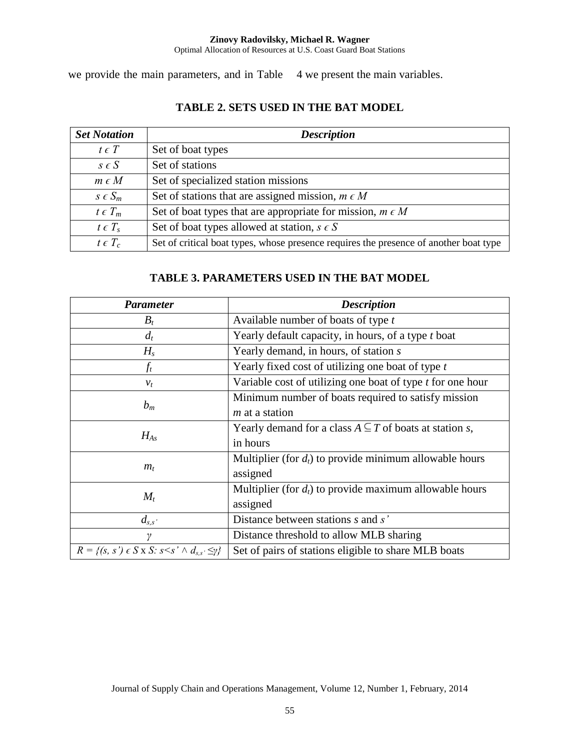#### **Zinovy Radovilsky, Michael R. Wagner** Optimal Allocation of Resources at U.S. Coast Guard Boat Stations

we provide the main parameters, and in Table 4 we present the main variables.

### **TABLE 2. SETS USED IN THE BAT MODEL**

| <b>Set Notation</b> | <b>Description</b>                                                                    |
|---------------------|---------------------------------------------------------------------------------------|
| $t \in T$           | Set of boat types                                                                     |
| $s \in S$           | Set of stations                                                                       |
| $m \in M$           | Set of specialized station missions                                                   |
| $S \in S_m$         | Set of stations that are assigned mission, $m \in M$                                  |
| $t \in T_m$         | Set of boat types that are appropriate for mission, $m \in M$                         |
| $t \in T_s$         | Set of boat types allowed at station, $s \in S$                                       |
| $t \in T_c$         | Set of critical boat types, whose presence requires the presence of another boat type |

# **TABLE 3. PARAMETERS USED IN THE BAT MODEL**

| <b>Parameter</b>                                                   | <b>Description</b>                                               |
|--------------------------------------------------------------------|------------------------------------------------------------------|
| $B_t$                                                              | Available number of boats of type t                              |
| $d_t$                                                              | Yearly default capacity, in hours, of a type t boat              |
| $H_s$                                                              | Yearly demand, in hours, of station s                            |
| $f_t$                                                              | Yearly fixed cost of utilizing one boat of type t                |
| $v_t$                                                              | Variable cost of utilizing one boat of type $t$ for one hour     |
| $b_m$                                                              | Minimum number of boats required to satisfy mission              |
|                                                                    | $m$ at a station                                                 |
| $H_{As}$                                                           | Yearly demand for a class $A \subseteq T$ of boats at station s, |
|                                                                    | in hours                                                         |
|                                                                    | Multiplier (for $d_t$ ) to provide minimum allowable hours       |
| $m_t$                                                              | assigned                                                         |
| $M_t$                                                              | Multiplier (for $d_t$ ) to provide maximum allowable hours       |
|                                                                    | assigned                                                         |
| $d_{s,s}$                                                          | Distance between stations s and s'                               |
| $\gamma$                                                           | Distance threshold to allow MLB sharing                          |
| $R = \{(s, s') \in S \times S : s \leq s' \land d_{s,s'} \leq y\}$ | Set of pairs of stations eligible to share MLB boats             |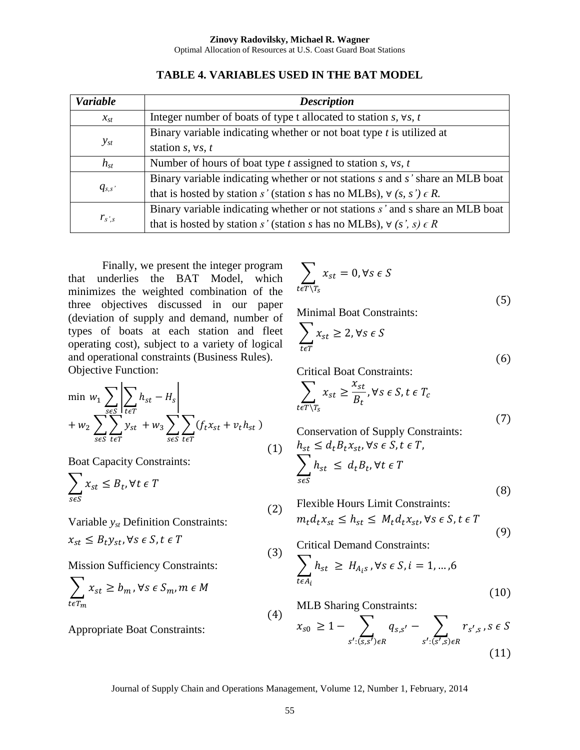| <b>Variable</b> | <b>Description</b>                                                               |
|-----------------|----------------------------------------------------------------------------------|
| $x_{st}$        | Integer number of boats of type t allocated to station $s$ , $\forall s$ , $t$   |
|                 | Binary variable indicating whether or not boat type $t$ is utilized at           |
| $y_{st}$        | station s, $\forall s, t$                                                        |
| $h_{st}$        | Number of hours of boat type t assigned to station s, $\forall s, t$             |
|                 | Binary variable indicating whether or not stations s and s' share an MLB boat    |
| $q_{s,s}$       | that is hosted by station s' (station s has no MLBs), $\forall$ (s, s') $\in$ R. |
|                 | Binary variable indicating whether or not stations s' and s share an MLB boat    |
| $r_{s,s}$       | that is hosted by station s' (station s has no MLBs), $\forall$ (s', s) $\in$ R  |

**TABLE 4. VARIABLES USED IN THE BAT MODEL**

Finally, we present the integer program that underlies the BAT Model, which minimizes the weighted combination of the three objectives discussed in our paper (deviation of supply and demand, number of types of boats at each station and fleet operating cost), subject to a variety of logical and operational constraints (Business Rules). Objective Function:

$$
\min_{w_1} w_1 \sum_{s \in S} \left| \sum_{t \in T} h_{st} - H_s \right|
$$
  
+  $w_2 \sum_{s \in S} \sum_{t \in T} y_{st} + w_3 \sum_{s \in S} \sum_{t \in T} (f_t x_{st} + v_t h_{st})$  (1)

Boat Capacity Constraints:

$$
\sum_{s \in S} x_{st} \leq B_t, \forall t \in T
$$

Variable *yst* Definition Constraints:

$$
x_{st} \leq B_t y_{st}, \forall s \in S, t \in T
$$

Mission Sufficiency Constraints:

$$
\sum_{t \in T_m} x_{st} \ge b_m, \forall s \in S_m, m \in M
$$

Appropriate Boat Constraints:

$$
\sum_{t \in T \setminus T_S} x_{st} = 0, \forall s \in S
$$
\n(5)

Minimal Boat Constraints:

$$
\sum_{t \in T} x_{st} \ge 2, \forall s \in S
$$
 (6)

Critical Boat Constraints:

$$
\sum_{t \in T \setminus T_S} x_{st} \ge \frac{x_{st}}{B_t}, \forall s \in S, t \in T_c
$$
\n(7)

Conservation of Supply Constraints:  
\n
$$
h_{st} \leq d_t B_t x_{st}, \forall s \in S, t \in T,
$$
\n
$$
\sum_{s \in S} h_{st} \leq d_t B_t, \forall t \in T
$$
\n(8)

Flexible Hours Limit Constraints:

$$
m_t d_t x_{st} \le h_{st} \le M_t d_t x_{st}, \forall s \in S, t \in T
$$
\n(9)

Critical Demand Constraints:  $\sum h$  $\geq H_{Ais}$ ,

$$
(10)
$$

MLB Sharing Constraints:

$$
x_{s0} \ge 1 - \sum_{s': (s,s') \in R} q_{s,s'} - \sum_{s': (s',s) \in R} r_{s',s} , s \in S
$$
\n(11)

Journal of Supply Chain and Operations Management, Volume 12, Number 1, February, 2014

 $(2)$ 

 $(3)$ 

t

 $(4)$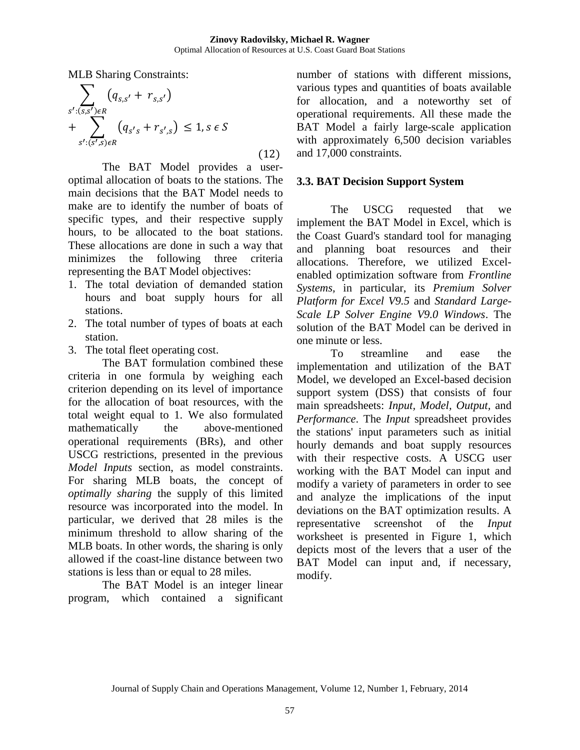MLB Sharing Constraints:

$$
\sum_{s':(s,s')\in R} (q_{s,s'} + r_{s,s'})
$$
  
+ 
$$
\sum_{s':(s',s)\in R} (q_{s's} + r_{s',s}) \le 1, s \in S
$$
 (12)

The BAT Model provides a useroptimal allocation of boats to the stations. The main decisions that the BAT Model needs to make are to identify the number of boats of specific types, and their respective supply hours, to be allocated to the boat stations. These allocations are done in such a way that minimizes the following three criteria representing the BAT Model objectives:

- 1. The total deviation of demanded station hours and boat supply hours for all stations.
- 2. The total number of types of boats at each station.
- 3. The total fleet operating cost.

The BAT formulation combined these criteria in one formula by weighing each criterion depending on its level of importance for the allocation of boat resources, with the total weight equal to 1. We also formulated mathematically the above-mentioned operational requirements (BRs), and other USCG restrictions, presented in the previous *Model Inputs* section, as model constraints. For sharing MLB boats, the concept of *optimally sharing* the supply of this limited resource was incorporated into the model. In particular, we derived that 28 miles is the minimum threshold to allow sharing of the MLB boats. In other words, the sharing is only allowed if the coast-line distance between two stations is less than or equal to 28 miles.

The BAT Model is an integer linear program, which contained a significant number of stations with different missions, various types and quantities of boats available for allocation, and a noteworthy set of operational requirements. All these made the BAT Model a fairly large-scale application with approximately 6,500 decision variables and 17,000 constraints.

# **3.3. BAT Decision Support System**

The USCG requested that we implement the BAT Model in Excel, which is the Coast Guard's standard tool for managing and planning boat resources and their allocations. Therefore, we utilized Excelenabled optimization software from *Frontline Systems,* in particular, its *Premium Solver Platform for Excel V9.5* and *Standard Large-Scale LP Solver Engine V9.0 Windows*. The solution of the BAT Model can be derived in one minute or less.

To streamline and ease the implementation and utilization of the BAT Model, we developed an Excel-based decision support system (DSS) that consists of four main spreadsheets: *Input, Model, Output,* and *Performance*. The *Input* spreadsheet provides the stations' input parameters such as initial hourly demands and boat supply resources with their respective costs. A USCG user working with the BAT Model can input and modify a variety of parameters in order to see and analyze the implications of the input deviations on the BAT optimization results. A representative screenshot of the *Input*  worksheet is presented in Figure 1, which depicts most of the levers that a user of the BAT Model can input and, if necessary, modify.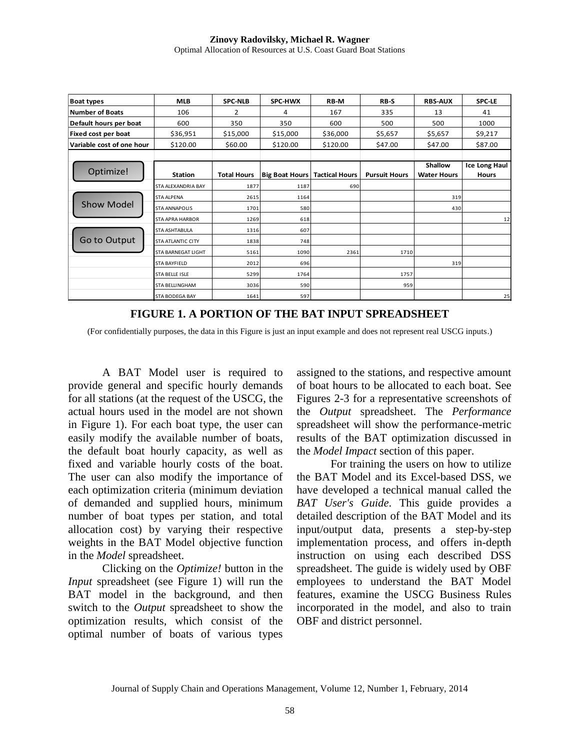| <b>Boat types</b>         | <b>MLB</b>                | <b>SPC-NLB</b>     | SPC-HWX                                | RB-M     | RB-S                 | <b>RBS-AUX</b>                | <b>SPC-LE</b>                 |
|---------------------------|---------------------------|--------------------|----------------------------------------|----------|----------------------|-------------------------------|-------------------------------|
| <b>Number of Boats</b>    | 106                       | 2                  | 4                                      | 167      | 335                  | 13                            | 41                            |
| Default hours per boat    | 600                       | 350                | 350                                    | 600      | 500                  | 500                           | 1000                          |
| Fixed cost per boat       | \$36,951                  | \$15,000           | \$15,000                               | \$36,000 | \$5,657              | \$5,657                       | \$9,217                       |
| Variable cost of one hour | \$120.00                  | \$60.00            | \$120.00                               | \$120.00 | \$47.00              | \$47.00                       | \$87.00                       |
|                           |                           |                    |                                        |          |                      |                               |                               |
| Optimize!                 | <b>Station</b>            | <b>Total Hours</b> | <b>Big Boat Hours   Tactical Hours</b> |          | <b>Pursuit Hours</b> | Shallow<br><b>Water Hours</b> | <b>Ice Long Haul</b><br>Hours |
|                           | STA ALEXANDRIA BAY        | 1877               | 1187                                   | 690      |                      |                               |                               |
|                           | <b>STA ALPENA</b>         | 2615               | 1164                                   |          |                      | 319                           |                               |
| <b>Show Model</b>         | <b>STA ANNAPOLIS</b>      | 1701               | 580                                    |          |                      | 430                           |                               |
|                           | <b>STA APRA HARBOR</b>    | 1269               | 618                                    |          |                      |                               | 12                            |
|                           | <b>STA ASHTABULA</b>      | 1316               | 607                                    |          |                      |                               |                               |
| Go to Output              | <b>STA ATLANTIC CITY</b>  | 1838               | 748                                    |          |                      |                               |                               |
|                           | <b>STA BARNEGAT LIGHT</b> | 5161               | 1090                                   | 2361     | 1710                 |                               |                               |
|                           | <b>STA BAYFIELD</b>       | 2012               | 696                                    |          |                      | 319                           |                               |
|                           | <b>STA BELLE ISLE</b>     | 5299               | 1764                                   |          | 1757                 |                               |                               |
|                           | <b>STA BELLINGHAM</b>     | 3036               | 590                                    |          | 959                  |                               |                               |
|                           | <b>STA BODEGA BAY</b>     | 1641               | 597                                    |          |                      |                               | 25                            |

**FIGURE 1. A PORTION OF THE BAT INPUT SPREADSHEET**

(For confidentially purposes, the data in this Figure is just an input example and does not represent real USCG inputs.)

A BAT Model user is required to provide general and specific hourly demands for all stations (at the request of the USCG, the actual hours used in the model are not shown in Figure 1). For each boat type, the user can easily modify the available number of boats, the default boat hourly capacity, as well as fixed and variable hourly costs of the boat. The user can also modify the importance of each optimization criteria (minimum deviation of demanded and supplied hours, minimum number of boat types per station, and total allocation cost) by varying their respective weights in the BAT Model objective function in the *Model* spreadsheet.

Clicking on the *Optimize!* button in the *Input* spreadsheet (see Figure 1) will run the BAT model in the background, and then switch to the *Output* spreadsheet to show the optimization results, which consist of the optimal number of boats of various types assigned to the stations, and respective amount of boat hours to be allocated to each boat. See Figures 2-3 for a representative screenshots of the *Output* spreadsheet. The *Performance*  spreadsheet will show the performance-metric results of the BAT optimization discussed in the *Model Impact* section of this paper.

For training the users on how to utilize the BAT Model and its Excel-based DSS, we have developed a technical manual called the *BAT User's Guide*. This guide provides a detailed description of the BAT Model and its input/output data, presents a step-by-step implementation process, and offers in-depth instruction on using each described DSS spreadsheet. The guide is widely used by OBF employees to understand the BAT Model features, examine the USCG Business Rules incorporated in the model, and also to train OBF and district personnel.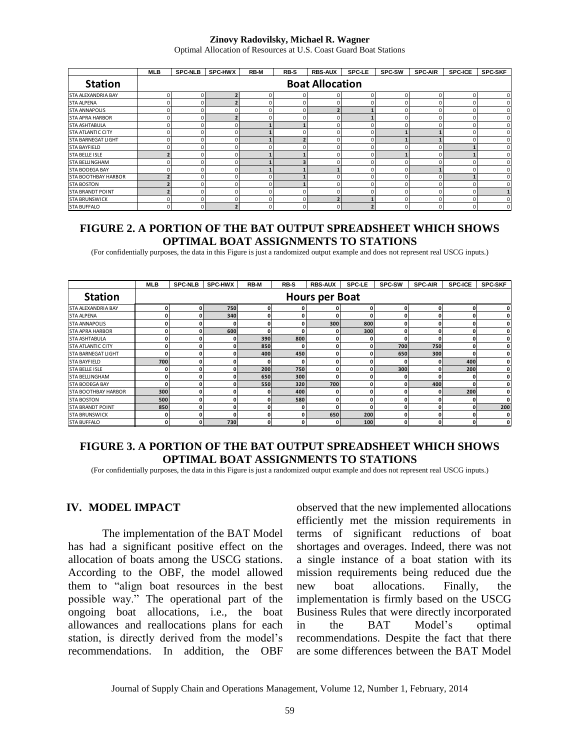#### **Zinovy Radovilsky, Michael R. Wagner**

Optimal Allocation of Resources at U.S. Coast Guard Boat Stations

|                            | <b>MLB</b> | <b>SPC-NLB</b>         | <b>SPC-HWX</b> | <b>RB-M</b> | <b>RB-S</b> | <b>RBS-AUX</b> | <b>SPC-LE</b> | <b>SPC-SW</b> | <b>SPC-AIR</b> | <b>SPC-ICE</b> | <b>SPC-SKF</b> |
|----------------------------|------------|------------------------|----------------|-------------|-------------|----------------|---------------|---------------|----------------|----------------|----------------|
| <b>Station</b>             |            | <b>Boat Allocation</b> |                |             |             |                |               |               |                |                |                |
| <b>STA ALEXANDRIA BAY</b>  |            |                        |                | O           |             |                |               |               |                | 0              | O              |
| <b>STA ALPENA</b>          |            |                        |                |             |             |                |               |               |                |                |                |
| <b>STA ANNAPOLIS</b>       |            |                        | O              |             |             |                |               |               |                |                |                |
| <b>STA APRA HARBOR</b>     |            |                        | 7              | O           |             |                |               |               |                | n              |                |
| <b>STA ASHTABULA</b>       |            |                        | 0              |             |             |                |               |               |                |                |                |
| <b>STA ATLANTIC CITY</b>   |            |                        | 0              |             |             |                |               |               |                |                |                |
| <b>STA BARNEGAT LIGHT</b>  |            |                        | 0              |             |             |                |               |               |                |                |                |
| <b>STA BAYFIELD</b>        |            |                        | O              |             |             |                |               |               |                |                |                |
| <b>STA BELLE ISLE</b>      |            |                        | 0              |             |             |                |               |               |                |                |                |
| <b>STA BELLINGHAM</b>      |            |                        | 0              |             |             |                |               |               |                |                |                |
| <b>STA BODEGA BAY</b>      |            |                        | 0              |             |             |                |               |               |                |                |                |
| <b>STA BOOTHBAY HARBOR</b> |            |                        | O              |             |             |                |               |               |                |                |                |
| <b>STA BOSTON</b>          |            |                        | O              |             |             |                |               |               |                |                |                |
| <b>STA BRANDT POINT</b>    |            |                        | 0              | O           |             |                |               |               |                | 0              |                |
| <b>STA BRUNSWICK</b>       |            |                        | 0              |             |             |                |               |               |                | n              |                |
| <b>STA BUFFALO</b>         |            |                        |                |             |             |                |               |               |                |                |                |

### **FIGURE 2. A PORTION OF THE BAT OUTPUT SPREADSHEET WHICH SHOWS OPTIMAL BOAT ASSIGNMENTS TO STATIONS**

(For confidentially purposes, the data in this Figure is just a randomized output example and does not represent real USCG inputs.)

|                            | MLB | <b>SPC-NLB</b>        | <b>SPC-HWX</b> | <b>RB-M</b> | RB-S | <b>RBS-AUX</b> | <b>SPC-LE</b> | <b>SPC-SW</b> | <b>SPC-AIR</b> | <b>SPC-ICE</b> | <b>SPC-SKF</b> |  |
|----------------------------|-----|-----------------------|----------------|-------------|------|----------------|---------------|---------------|----------------|----------------|----------------|--|
| <b>Station</b>             |     | <b>Hours per Boat</b> |                |             |      |                |               |               |                |                |                |  |
| STA ALEXANDRIA BAY         | 0   | 0                     | 750            | n           |      |                | 0             |               | 0              | Ω              | O              |  |
| <b>STA ALPENA</b>          | 0   |                       | 340            |             | O    |                | O             |               | o              |                | o              |  |
| <b>STA ANNAPOLIS</b>       | 0   |                       | 0              |             | O    | 300            | 800           |               | 0              |                | 0              |  |
| <b>STA APRA HARBOR</b>     | 0   | 0                     | 600            |             | 0    |                | 300           | n             | 0              |                | 0              |  |
| <b>STA ASHTABULA</b>       | 0   | 0                     | 0              | 390         | 800  |                | 0             | O             | 0              |                | O              |  |
| <b>STA ATLANTIC CITY</b>   | 0   | 0                     | $\mathbf{0}$   | 850         | O    |                | O             | 700           | 750            |                |                |  |
| <b>STA BARNEGAT LIGHT</b>  | O   | 0                     | 0              | 400         | 450  |                | n             | 650           | 300            |                |                |  |
| <b>STA BAYFIELD</b>        | 700 | 0                     | 0              |             | O    |                | n             |               |                | 400            | O              |  |
| <b>STA BELLE ISLE</b>      | 0   |                       | 0              | 200         | 750  |                |               | 300           |                | 200            |                |  |
| <b>STA BELLINGHAM</b>      | 0   | U                     | 0              | 650         | 300  |                | O             |               | O              |                | O              |  |
| <b>STA BODEGA BAY</b>      | O   | 0                     | 0              | 550         | 320  | 700            | O             |               | 400            |                | 0              |  |
| <b>STA BOOTHBAY HARBOR</b> | 300 | 0                     | 0              |             | 400  |                | 0             |               | O              | 200            | 0              |  |
| <b>STA BOSTON</b>          | 500 | 0                     | 0              |             | 580  |                | 0             |               | O              |                | 0              |  |
| <b>STA BRANDT POINT</b>    | 850 | 0                     | $\mathbf{0}$   |             | 0    |                | 0             |               | o              | 0              | 200            |  |
| <b>STA BRUNSWICK</b>       | 0   |                       | 0              |             | 0    | 650            | 200           |               | o              |                | 0              |  |
| <b>STA BUFFALO</b>         | 0   | 0                     | 730            | 0           | 0    |                | 100           |               | 0              |                | 0              |  |

# **FIGURE 3. A PORTION OF THE BAT OUTPUT SPREADSHEET WHICH SHOWS OPTIMAL BOAT ASSIGNMENTS TO STATIONS**

(For confidentially purposes, the data in this Figure is just a randomized output example and does not represent real USCG inputs.)

### **IV. MODEL IMPACT**

The implementation of the BAT Model has had a significant positive effect on the allocation of boats among the USCG stations. According to the OBF, the model allowed them to "align boat resources in the best possible way." The operational part of the ongoing boat allocations, i.e., the boat allowances and reallocations plans for each station, is directly derived from the model's recommendations. In addition, the OBF observed that the new implemented allocations efficiently met the mission requirements in terms of significant reductions of boat shortages and overages. Indeed, there was not a single instance of a boat station with its mission requirements being reduced due the new boat allocations. Finally, the implementation is firmly based on the USCG Business Rules that were directly incorporated in the BAT Model's optimal recommendations. Despite the fact that there are some differences between the BAT Model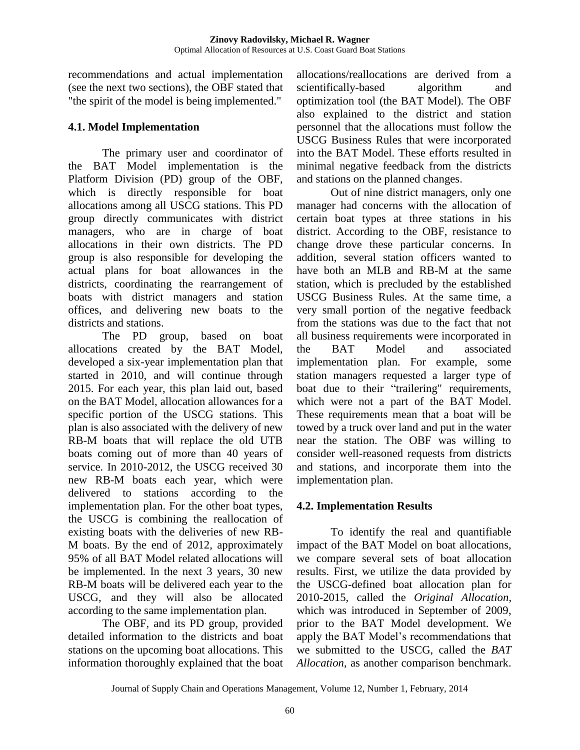recommendations and actual implementation (see the next two sections), the OBF stated that "the spirit of the model is being implemented."

# **4.1. Model Implementation**

The primary user and coordinator of the BAT Model implementation is the Platform Division (PD) group of the OBF, which is directly responsible for boat allocations among all USCG stations. This PD group directly communicates with district managers, who are in charge of boat allocations in their own districts. The PD group is also responsible for developing the actual plans for boat allowances in the districts, coordinating the rearrangement of boats with district managers and station offices, and delivering new boats to the districts and stations.

The PD group, based on boat allocations created by the BAT Model, developed a six-year implementation plan that started in 2010, and will continue through 2015. For each year, this plan laid out, based on the BAT Model, allocation allowances for a specific portion of the USCG stations. This plan is also associated with the delivery of new RB-M boats that will replace the old UTB boats coming out of more than 40 years of service. In 2010-2012, the USCG received 30 new RB-M boats each year, which were delivered to stations according to the implementation plan. For the other boat types, the USCG is combining the reallocation of existing boats with the deliveries of new RB-M boats. By the end of 2012, approximately 95% of all BAT Model related allocations will be implemented. In the next 3 years, 30 new RB-M boats will be delivered each year to the USCG, and they will also be allocated according to the same implementation plan.

The OBF, and its PD group, provided detailed information to the districts and boat stations on the upcoming boat allocations. This information thoroughly explained that the boat

allocations/reallocations are derived from a scientifically-based algorithm and optimization tool (the BAT Model). The OBF also explained to the district and station personnel that the allocations must follow the USCG Business Rules that were incorporated into the BAT Model. These efforts resulted in minimal negative feedback from the districts and stations on the planned changes.

Out of nine district managers, only one manager had concerns with the allocation of certain boat types at three stations in his district. According to the OBF, resistance to change drove these particular concerns. In addition, several station officers wanted to have both an MLB and RB-M at the same station, which is precluded by the established USCG Business Rules. At the same time, a very small portion of the negative feedback from the stations was due to the fact that not all business requirements were incorporated in the BAT Model and associated implementation plan. For example, some station managers requested a larger type of boat due to their "trailering" requirements, which were not a part of the BAT Model. These requirements mean that a boat will be towed by a truck over land and put in the water near the station. The OBF was willing to consider well-reasoned requests from districts and stations, and incorporate them into the implementation plan.

# **4.2. Implementation Results**

To identify the real and quantifiable impact of the BAT Model on boat allocations, we compare several sets of boat allocation results. First, we utilize the data provided by the USCG-defined boat allocation plan for 2010-2015, called the *Original Allocation*, which was introduced in September of 2009, prior to the BAT Model development. We apply the BAT Model's recommendations that we submitted to the USCG, called the *BAT Allocation*, as another comparison benchmark.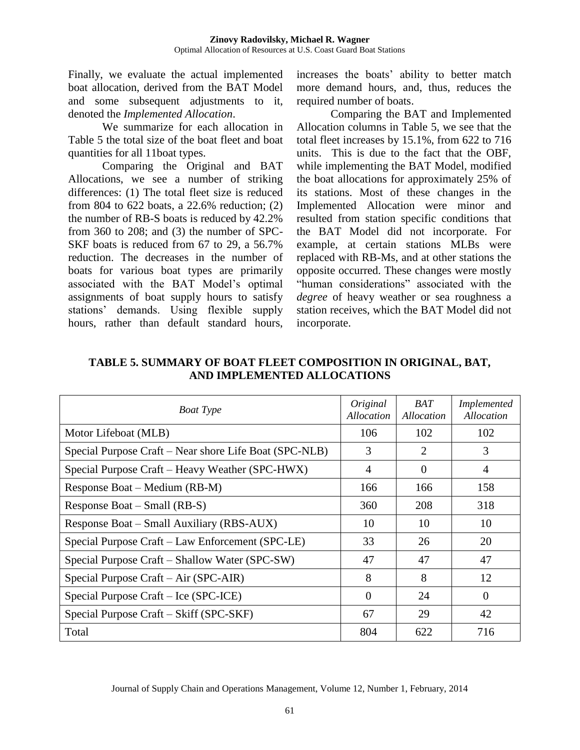Finally, we evaluate the actual implemented boat allocation, derived from the BAT Model and some subsequent adjustments to it, denoted the *Implemented Allocation*.

We summarize for each allocation in Table 5 the total size of the boat fleet and boat quantities for all 11boat types.

Comparing the Original and BAT Allocations, we see a number of striking differences: (1) The total fleet size is reduced from 804 to 622 boats, a 22.6% reduction; (2) the number of RB-S boats is reduced by 42.2% from 360 to 208; and (3) the number of SPC-SKF boats is reduced from 67 to 29, a 56.7% reduction. The decreases in the number of boats for various boat types are primarily associated with the BAT Model's optimal assignments of boat supply hours to satisfy stations' demands. Using flexible supply hours, rather than default standard hours,

increases the boats' ability to better match more demand hours, and, thus, reduces the required number of boats.

Comparing the BAT and Implemented Allocation columns in Table 5, we see that the total fleet increases by 15.1%, from 622 to 716 units. This is due to the fact that the OBF, while implementing the BAT Model, modified the boat allocations for approximately 25% of its stations. Most of these changes in the Implemented Allocation were minor and resulted from station specific conditions that the BAT Model did not incorporate. For example, at certain stations MLBs were replaced with RB-Ms, and at other stations the opposite occurred. These changes were mostly "human considerations" associated with the *degree* of heavy weather or sea roughness a station receives, which the BAT Model did not incorporate.

| <b>Boat Type</b>                                       | Original<br>Allocation | BAT<br>Allocation | <i>Implemented</i><br>Allocation |
|--------------------------------------------------------|------------------------|-------------------|----------------------------------|
| Motor Lifeboat (MLB)                                   | 106                    | 102               | 102                              |
| Special Purpose Craft – Near shore Life Boat (SPC-NLB) | 3                      | 2                 | 3                                |
| Special Purpose Craft – Heavy Weather (SPC-HWX)        | 4                      | $\Omega$          | 4                                |
| Response Boat – Medium (RB-M)                          | 166                    | 166               | 158                              |
| Response Boat – Small (RB-S)                           | 360                    | 208               | 318                              |
| Response Boat – Small Auxiliary (RBS-AUX)              | 10                     | 10                | 10                               |
| Special Purpose Craft - Law Enforcement (SPC-LE)       | 33                     | 26                | 20                               |
| Special Purpose Craft – Shallow Water (SPC-SW)         | 47                     | 47                | 47                               |
| Special Purpose Craft – Air (SPC-AIR)                  | 8                      | 8                 | 12                               |
| Special Purpose Craft – Ice (SPC-ICE)                  | $\Omega$               | 24                | $\Omega$                         |
| Special Purpose Craft – Skiff (SPC-SKF)                | 67                     | 29                | 42                               |
| Total                                                  | 804                    | 622               | 716                              |

**TABLE 5. SUMMARY OF BOAT FLEET COMPOSITION IN ORIGINAL, BAT, AND IMPLEMENTED ALLOCATIONS**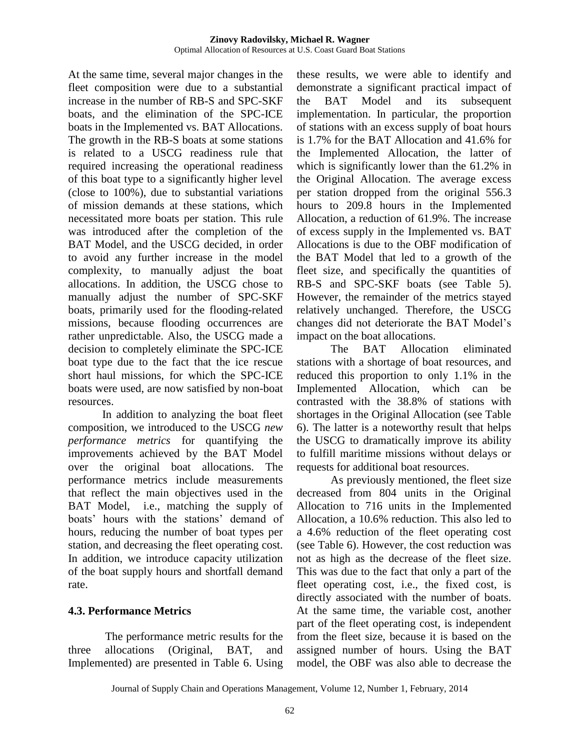At the same time, several major changes in the fleet composition were due to a substantial increase in the number of RB-S and SPC-SKF boats, and the elimination of the SPC-ICE boats in the Implemented vs. BAT Allocations. The growth in the RB-S boats at some stations is related to a USCG readiness rule that required increasing the operational readiness of this boat type to a significantly higher level (close to 100%), due to substantial variations of mission demands at these stations, which necessitated more boats per station. This rule was introduced after the completion of the BAT Model, and the USCG decided, in order to avoid any further increase in the model complexity, to manually adjust the boat allocations. In addition, the USCG chose to manually adjust the number of SPC-SKF boats, primarily used for the flooding-related missions, because flooding occurrences are rather unpredictable. Also, the USCG made a decision to completely eliminate the SPC-ICE boat type due to the fact that the ice rescue short haul missions, for which the SPC-ICE boats were used, are now satisfied by non-boat resources.

In addition to analyzing the boat fleet composition, we introduced to the USCG *new performance metrics* for quantifying the improvements achieved by the BAT Model over the original boat allocations. The performance metrics include measurements that reflect the main objectives used in the BAT Model, i.e., matching the supply of boats' hours with the stations' demand of hours, reducing the number of boat types per station, and decreasing the fleet operating cost. In addition, we introduce capacity utilization of the boat supply hours and shortfall demand rate.

### **4.3. Performance Metrics**

The performance metric results for the three allocations (Original, BAT, and Implemented) are presented in Table 6. Using

these results, we were able to identify and demonstrate a significant practical impact of the BAT Model and its subsequent implementation. In particular, the proportion of stations with an excess supply of boat hours is 1.7% for the BAT Allocation and 41.6% for the Implemented Allocation, the latter of which is significantly lower than the 61.2% in the Original Allocation. The average excess per station dropped from the original 556.3 hours to 209.8 hours in the Implemented Allocation, a reduction of 61.9%. The increase of excess supply in the Implemented vs. BAT Allocations is due to the OBF modification of the BAT Model that led to a growth of the fleet size, and specifically the quantities of RB-S and SPC-SKF boats (see Table 5). However, the remainder of the metrics stayed relatively unchanged. Therefore, the USCG changes did not deteriorate the BAT Model's impact on the boat allocations.

The BAT Allocation eliminated stations with a shortage of boat resources, and reduced this proportion to only 1.1% in the Implemented Allocation, which can be contrasted with the 38.8% of stations with shortages in the Original Allocation (see Table 6). The latter is a noteworthy result that helps the USCG to dramatically improve its ability to fulfill maritime missions without delays or requests for additional boat resources.

As previously mentioned, the fleet size decreased from 804 units in the Original Allocation to 716 units in the Implemented Allocation, a 10.6% reduction. This also led to a 4.6% reduction of the fleet operating cost (see Table 6). However, the cost reduction was not as high as the decrease of the fleet size. This was due to the fact that only a part of the fleet operating cost, i.e., the fixed cost, is directly associated with the number of boats. At the same time, the variable cost, another part of the fleet operating cost, is independent from the fleet size, because it is based on the assigned number of hours. Using the BAT model, the OBF was also able to decrease the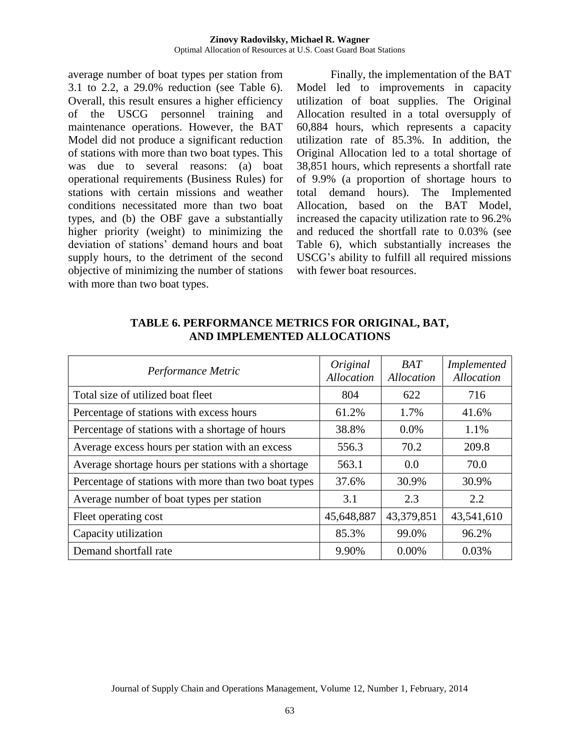average number of boat types per station from 3.1 to 2.2, a 29.0% reduction (see Table 6). Overall, this result ensures a higher efficiency of the USCG personnel training and maintenance operations. However, the BAT Model did not produce a significant reduction of stations with more than two boat types. This was due to several reasons: (a) boat operational requirements (Business Rules) for stations with certain missions and weather conditions necessitated more than two boat types, and (b) the OBF gave a substantially higher priority (weight) to minimizing the deviation of stations' demand hours and boat supply hours, to the detriment of the second objective of minimizing the number of stations with more than two boat types.

Finally, the implementation of the BAT Model led to improvements in capacity utilization of boat supplies. The Original Allocation resulted in a total oversupply of 60,884 hours, which represents a capacity utilization rate of 85.3%. In addition, the Original Allocation led to a total shortage of 38,851 hours, which represents a shortfall rate of 9.9% (a proportion of shortage hours to total demand hours). The Implemented Allocation, based on the BAT Model, increased the capacity utilization rate to 96.2% and reduced the shortfall rate to 0.03% (see Table 6), which substantially increases the USCG's ability to fulfill all required missions with fewer boat resources.

| Performance Metric                                   | Original<br><b>Allocation</b> | <b>BAT</b><br>Allocation | <b>Implemented</b><br><b>Allocation</b> |
|------------------------------------------------------|-------------------------------|--------------------------|-----------------------------------------|
| Total size of utilized boat fleet                    | 804                           | 622                      | 716                                     |
| Percentage of stations with excess hours             | 61.2%                         | 1.7%                     | 41.6%                                   |
| Percentage of stations with a shortage of hours      | 38.8%                         | $0.0\%$                  | 1.1%                                    |
| Average excess hours per station with an excess      | 556.3                         | 70.2                     | 209.8                                   |
| Average shortage hours per stations with a shortage  | 563.1                         | 0.0                      | 70.0                                    |
| Percentage of stations with more than two boat types | 37.6%                         | 30.9%                    | 30.9%                                   |
| Average number of boat types per station             | 3.1                           | 2.3                      | 2.2                                     |
| Fleet operating cost                                 | 45,648,887                    | 43,379,851               | 43,541,610                              |
| Capacity utilization                                 | 85.3%                         | 99.0%                    | 96.2%                                   |
| Demand shortfall rate                                | 9.90%                         | $0.00\%$                 | 0.03%                                   |

**TABLE 6. PERFORMANCE METRICS FOR ORIGINAL, BAT, AND IMPLEMENTED ALLOCATIONS**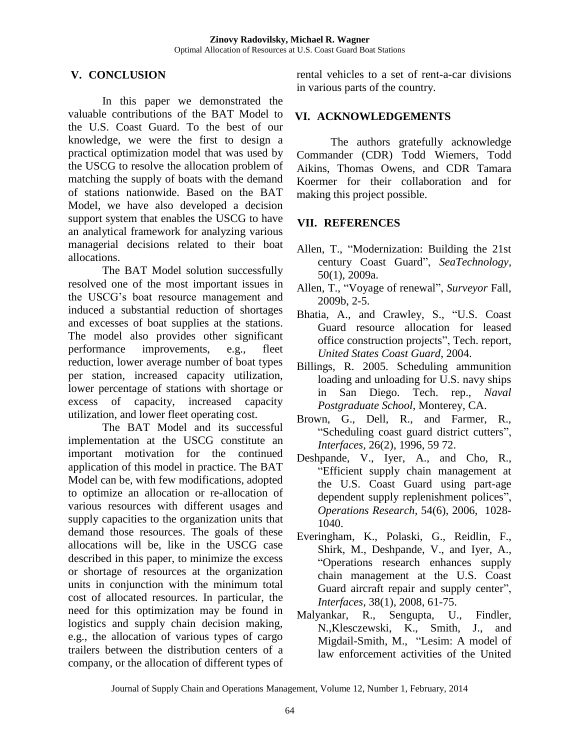# **V. CONCLUSION**

In this paper we demonstrated the valuable contributions of the BAT Model to the U.S. Coast Guard. To the best of our knowledge, we were the first to design a practical optimization model that was used by the USCG to resolve the allocation problem of matching the supply of boats with the demand of stations nationwide. Based on the BAT Model, we have also developed a decision support system that enables the USCG to have an analytical framework for analyzing various managerial decisions related to their boat allocations.

The BAT Model solution successfully resolved one of the most important issues in the USCG's boat resource management and induced a substantial reduction of shortages and excesses of boat supplies at the stations. The model also provides other significant performance improvements, e.g., fleet reduction, lower average number of boat types per station, increased capacity utilization, lower percentage of stations with shortage or excess of capacity, increased capacity utilization, and lower fleet operating cost.

The BAT Model and its successful implementation at the USCG constitute an important motivation for the continued application of this model in practice. The BAT Model can be, with few modifications, adopted to optimize an allocation or re-allocation of various resources with different usages and supply capacities to the organization units that demand those resources. The goals of these allocations will be, like in the USCG case described in this paper, to minimize the excess or shortage of resources at the organization units in conjunction with the minimum total cost of allocated resources. In particular, the need for this optimization may be found in logistics and supply chain decision making, e.g., the allocation of various types of cargo trailers between the distribution centers of a company, or the allocation of different types of

rental vehicles to a set of rent-a-car divisions in various parts of the country.

# **VI. ACKNOWLEDGEMENTS**

The authors gratefully acknowledge Commander (CDR) Todd Wiemers, Todd Aikins, Thomas Owens, and CDR Tamara Koermer for their collaboration and for making this project possible.

# **VII. REFERENCES**

- Allen, T., "Modernization: Building the 21st century Coast Guard", *SeaTechnology,*  50(1), 2009a.
- Allen, T., "Voyage of renewal", *Surveyor* Fall, 2009b, 2-5.
- Bhatia, A., and Crawley, S., "U.S. Coast Guard resource allocation for leased office construction projects", Tech. report, *United States Coast Guard*, 2004.
- Billings, R. 2005. Scheduling ammunition loading and unloading for U.S. navy ships in San Diego. Tech. rep., *Naval Postgraduate School*, Monterey, CA.
- Brown, G., Dell, R., and Farmer, R., "Scheduling coast guard district cutters", *Interfaces,* 26(2), 1996, 59 72.
- Deshpande, V., Iyer, A., and Cho, R., "Efficient supply chain management at the U.S. Coast Guard using part-age dependent supply replenishment polices", *Operations Research,* 54(6), 2006, 1028- 1040.
- Everingham, K., Polaski, G., Reidlin, F., Shirk, M., Deshpande, V., and Iyer, A., "Operations research enhances supply chain management at the U.S. Coast Guard aircraft repair and supply center", *Interfaces,* 38(1), 2008, 61-75.
- Malyankar, R., Sengupta, U., Findler, N.,Klesczewski, K., Smith, J., and Migdail-Smith, M., "Lesim: A model of law enforcement activities of the United

Journal of Supply Chain and Operations Management, Volume 12, Number 1, February, 2014